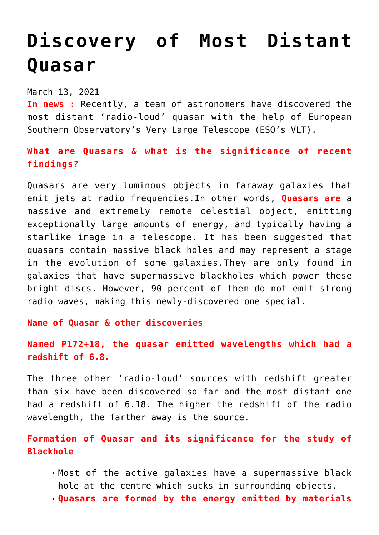## **[Discovery of Most Distant](https://journalsofindia.com/discovery-of-most-distant-quasar/) [Quasar](https://journalsofindia.com/discovery-of-most-distant-quasar/)**

March 13, 2021

**In news :** Recently, a team of astronomers have discovered the most distant 'radio-loud' quasar with the help of European Southern Observatory's Very Large Telescope (ESO's VLT).

## **What are Quasars & what is the significance of recent findings?**

Quasars are very luminous objects in faraway galaxies that emit jets at radio frequencies.In other words, **Quasars are** a massive and extremely remote celestial object, emitting exceptionally large amounts of energy, and typically having a starlike image in a telescope. It has been suggested that quasars contain massive black holes and may represent a stage in the evolution of some galaxies.They are only found in galaxies that have supermassive blackholes which power these bright discs. However, 90 percent of them do not emit strong radio waves, making this newly-discovered one special.

## **Name of Quasar & other discoveries**

**Named P172+18, the quasar emitted wavelengths which had a redshift of 6.8.**

The three other 'radio-loud' sources with redshift greater than six have been discovered so far and the most distant one had a redshift of 6.18. The higher the redshift of the radio wavelength, the farther away is the source.

## **Formation of Quasar and its significance for the study of Blackhole**

- Most of the active galaxies have a supermassive black hole at the centre which sucks in surrounding objects.
- **Quasars are formed by the energy emitted by materials**